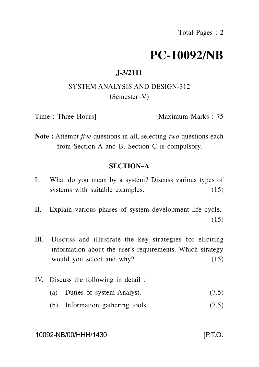# **PC-10092/NB**

# **J-3/2111**

# SYSTEM ANALYSIS AND DESIGN-312 (Semester–V)

Time : Three Hours [Maximum Marks : 75

**Note :** Attempt *five* questions in all, selecting *two* questions each from Section A and B. Section C is compulsory.

### **SECTION–A**

- I. What do you mean by a system? Discuss various types of systems with suitable examples. (15)
- II. Explain various phases of system development life cycle. (15)
- III. Discuss and illustrate the key strategies for eliciting information about the user's requirements. Which strategy would you select and why? (15)
- IV. Discuss the following in detail :
	- (a) Duties of system Analyst. (7.5)
	- (b) Information gathering tools. (7.5)

#### 10092-NB/00/HHH/1430 [P.T.O.